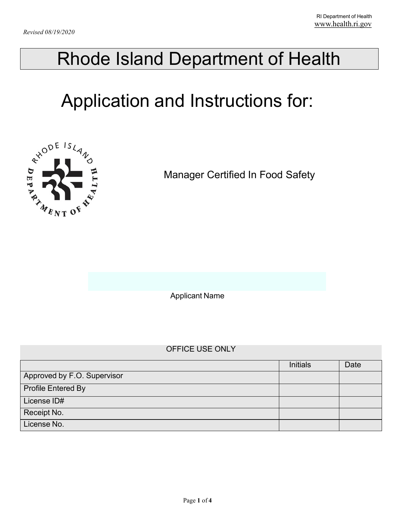## Rhode Island Department of Health

# Application and Instructions for:



Manager Certified In Food Safety

Applicant Name

### OFFICE USE ONLY

|                             | <b>Initials</b> | Date |
|-----------------------------|-----------------|------|
| Approved by F.O. Supervisor |                 |      |
| <b>Profile Entered By</b>   |                 |      |
| License ID#                 |                 |      |
| Receipt No.                 |                 |      |
| License No.                 |                 |      |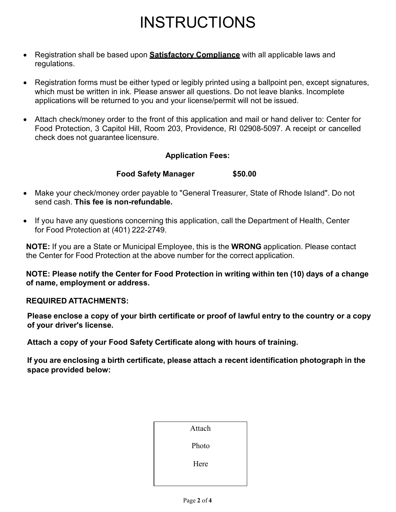### INSTRUCTIONS

- Registration shall be based upon **Satisfactory Compliance** with all applicable laws and regulations.
- Registration forms must be either typed or legibly printed using a ballpoint pen, except signatures, which must be written in ink. Please answer all questions. Do not leave blanks. Incomplete applications will be returned to you and your license/permit will not be issued.
- Attach check/money order to the front of this application and mail or hand deliver to: Center for Food Protection, 3 Capitol Hill, Room 203, Providence, RI 02908-5097. A receipt or cancelled check does not guarantee licensure.

### **Application Fees:**

### **Food Safety Manager \$50.00**

- Make your check/money order payable to "General Treasurer, State of Rhode Island". Do not send cash. **This fee is non-refundable.**
- If you have any questions concerning this application, call the Department of Health, Center for Food Protection at (401) 222-2749.

**NOTE:** If you are a State or Municipal Employee, this is the **WRONG** application. Please contact the Center for Food Protection at the above number for the correct application.

**NOTE: Please notify the Center for Food Protection in writing within ten (10) days of a change of name, employment or address.**

#### **REQUIRED ATTACHMENTS:**

**Please enclose a copy of your birth certificate or proof of lawful entry to the country or a copy of your driver's license.**

**Attach a copy of your Food Safety Certificate along with hours of training.** 

**If you are enclosing a birth certificate, please attach a recent identification photograph in the space provided below:**

| Attach |  |
|--------|--|
| Photo  |  |
| Here   |  |
|        |  |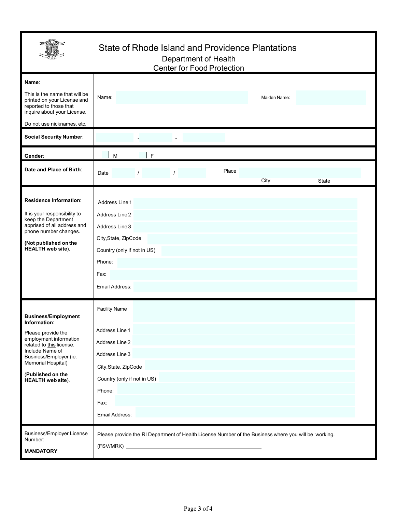|                                                                                                                                                                                                                                            | State of Rhode Island and Providence Plantations<br>Department of Health<br><b>Center for Food Protection</b>                                                         |  |  |  |
|--------------------------------------------------------------------------------------------------------------------------------------------------------------------------------------------------------------------------------------------|-----------------------------------------------------------------------------------------------------------------------------------------------------------------------|--|--|--|
| Name:<br>This is the name that will be<br>printed on your License and<br>reported to those that<br>inquire about your License.<br>Do not use nicknames, etc.                                                                               | Name:<br>Maiden Name:                                                                                                                                                 |  |  |  |
| <b>Social Security Number:</b>                                                                                                                                                                                                             |                                                                                                                                                                       |  |  |  |
| Gender:                                                                                                                                                                                                                                    | $\mathsf{F}$<br>M                                                                                                                                                     |  |  |  |
| Date and Place of Birth:                                                                                                                                                                                                                   | Place<br>Date<br>$\prime$<br>$\prime$<br>City<br>State                                                                                                                |  |  |  |
| Residence Information:<br>It is your responsibility to<br>keep the Department<br>apprised of all address and<br>phone number changes.<br>(Not published on the<br><b>HEALTH</b> web site).                                                 | Address Line 1<br>Address Line 2<br>Address Line 3<br>City, State, ZipCode<br>Country (only if not in US)<br>Phone:<br>Fax:<br>Email Address:                         |  |  |  |
| <b>Business/Employment</b><br>Information:<br>Please provide the<br>employment information<br>related to this license.<br>Include Name of<br>Business/Employer (ie.<br>Memorial Hospital)<br>(Published on the<br><b>HEALTH</b> web site). | <b>Facility Name</b><br>Address Line 1<br>Address Line 2<br>Address Line 3<br>City, State, ZipCode<br>Country (only if not in US)<br>Phone:<br>Fax:<br>Email Address: |  |  |  |
| <b>Business/Employer License</b><br>Number:<br><b>MANDATORY</b>                                                                                                                                                                            | Please provide the RI Department of Health License Number of the Business where you will be working.                                                                  |  |  |  |